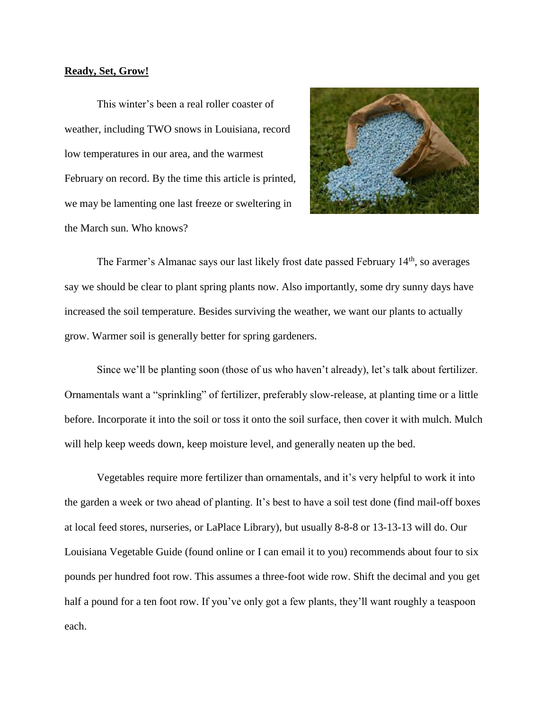## **Ready, Set, Grow!**

This winter's been a real roller coaster of weather, including TWO snows in Louisiana, record low temperatures in our area, and the warmest February on record. By the time this article is printed, we may be lamenting one last freeze or sweltering in the March sun. Who knows?



The Farmer's Almanac says our last likely frost date passed February  $14<sup>th</sup>$ , so averages say we should be clear to plant spring plants now. Also importantly, some dry sunny days have increased the soil temperature. Besides surviving the weather, we want our plants to actually grow. Warmer soil is generally better for spring gardeners.

Since we'll be planting soon (those of us who haven't already), let's talk about fertilizer. Ornamentals want a "sprinkling" of fertilizer, preferably slow-release, at planting time or a little before. Incorporate it into the soil or toss it onto the soil surface, then cover it with mulch. Mulch will help keep weeds down, keep moisture level, and generally neaten up the bed.

Vegetables require more fertilizer than ornamentals, and it's very helpful to work it into the garden a week or two ahead of planting. It's best to have a soil test done (find mail-off boxes at local feed stores, nurseries, or LaPlace Library), but usually 8-8-8 or 13-13-13 will do. Our Louisiana Vegetable Guide (found online or I can email it to you) recommends about four to six pounds per hundred foot row. This assumes a three-foot wide row. Shift the decimal and you get half a pound for a ten foot row. If you've only got a few plants, they'll want roughly a teaspoon each.